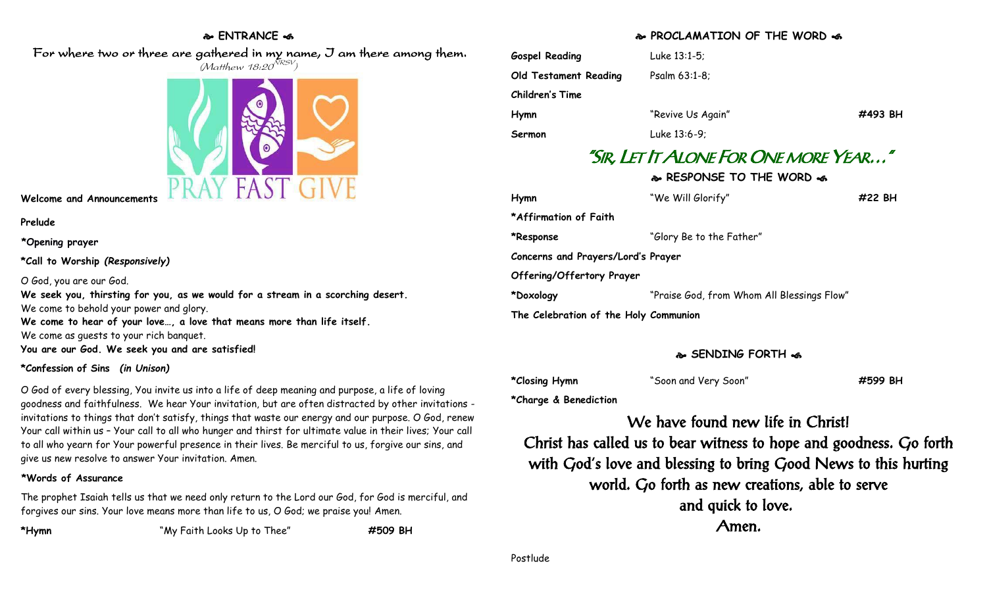## **ENTRANCE**

 For where two or three are gathered in my name, I am there among them.  $(M$ atthew 18:20 $^{NRSV})$ 



**Welcome and Announcements**

#### **Prelude**

**\*Opening prayer**

**\*Call to Worship** *(Responsively)*

#### O God, you are our God.

**We seek you, thirsting for you, as we would for a stream in a scorching desert.** We come to behold your power and glory. **We come to hear of your love…, a love that means more than life itself.** We come as guests to your rich banquet.

**You are our God. We seek you and are satisfied!**

## **\*Confession of Sins** *(in Unison)*

O God of every blessing, You invite us into a life of deep meaning and purpose, a life of loving goodness and faithfulness. We hear Your invitation, but are often distracted by other invitations invitations to things that don't satisfy, things that waste our energy and our purpose. O God, renew Your call within us – Your call to all who hunger and thirst for ultimate value in their lives; Your call to all who yearn for Your powerful presence in their lives. Be merciful to us, forgive our sins, and give us new resolve to answer Your invitation. Amen.

## **\*Words of Assurance**

The prophet Isaiah tells us that we need only return to the Lord our God, for God is merciful, and forgives our sins. Your love means more than life to us, O God; we praise you! Amen.

**\*Hymn** "My Faith Looks Up to Thee" **#509 BH**

# **PROCLAMATION OF THE WORD**

| Luke 13:1-5;      |                                     |                                       |
|-------------------|-------------------------------------|---------------------------------------|
| Psalm 63:1-8;     |                                     |                                       |
|                   |                                     |                                       |
| "Revive Us Again" | #493 BH                             |                                       |
| Luke 13:6-9;      |                                     |                                       |
|                   |                                     |                                       |
|                   | $\sim$ DECRONICE TO THE WODD $\sim$ | "SIR. LET IT ALONE FOR ONE MORE YEAR" |

|                                       | © RESPUNSE TU THE WURD <                   |        |  |
|---------------------------------------|--------------------------------------------|--------|--|
| Hymn                                  | "We Will Glorify"                          | #22 BH |  |
| *Affirmation of Faith                 |                                            |        |  |
| *Response                             | "Glory Be to the Father"                   |        |  |
| Concerns and Prayers/Lord's Prayer    |                                            |        |  |
| Offering/Offertory Prayer             |                                            |        |  |
| *Doxology                             | "Praise God, from Whom All Blessings Flow" |        |  |
| The Celebration of the Holy Communion |                                            |        |  |

# **SENDING FORTH**  $\sim$

| *Closing Hymn | "Soon and Very Soon" | #599 BH |
|---------------|----------------------|---------|
|---------------|----------------------|---------|

**\*Charge & Benediction**

We have found new life in Christ! Christ has called us to bear witness to hope and goodness. Go forth with God's love and blessing to bring Good News to this hurting world. Go forth as new creations, able to serve and quick to love. Amen.

Postlude